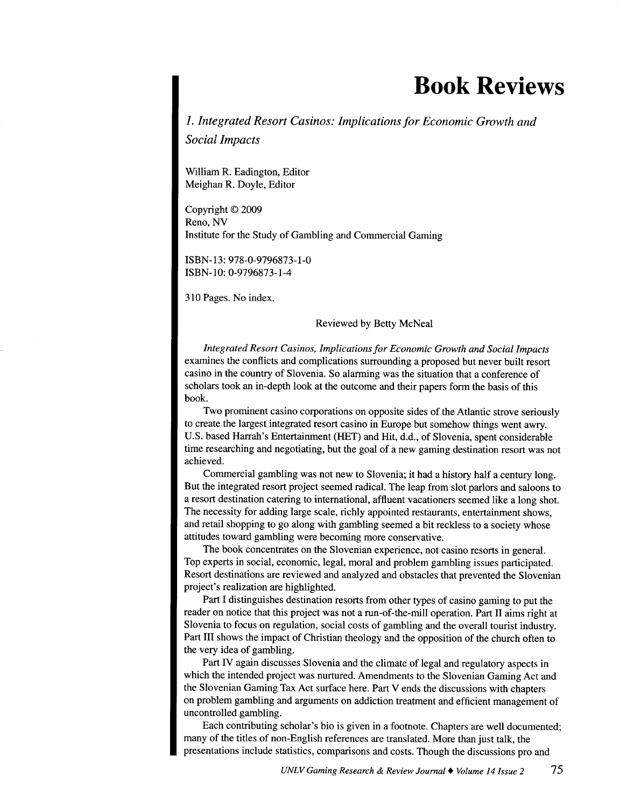## **Book Reviews**

*1. Integrated Resort Casinos: Implications for Economic Growth and Social Impacts* 

William R. Eadington, Editor Meighan R. Doyle, Editor

Copyright © 2009 Reno, NV Institute for the Study of Gambling and Commercial Gaming

ISBN-13: 978-0-9796873-1-0 ISBN-10: 0-9796873-1-4

310 Pages. No index.

Reviewed by Betty McNeal

*Integrated Resort Casinos, Implications for Economic Growth and Social Impacts*  examines the conflicts and complications surrounding a proposed but never built resort casino in the country of Slovenia. So alarming was the situation that a conference of scholars took an in-depth look at the outcome and their papers form the basis of this book.

Two prominent casino corporations on opposite sides of the Atlantic strove seriously to create the largest integrated resort casino in Europe but somehow things went awry. U.S. based Harrah's Entertainment (HET) and Hit, d.d., of Slovenia, spent considerable time researching and negotiating, but the goal of a new gaming destination resort was not achieved.

Commercial gambling was not new to Slovenia; it had a history half a century long. But the integrated resort project seemed radical. The leap from slot parlors and saloons to a resort destination catering to international, affluent vacationers seemed like a long shot. The necessity for adding large scale, richly appointed restaurants, entertainment shows, and retail shopping to go along with gambling seemed a bit reckless to a society whose attitudes toward gambling were becoming more conservative.

The book concentrates on the Slovenian experience, not casino resorts in general. Top experts in social, economic, legal, moral and problem gambling issues participated. Resort destinations are reviewed and analyzed and obstacles that prevented the Slovenian project's realization are highlighted.

Part I distinguishes destination resorts from other types of casino gaming to put the reader on notice that this project was not a run-of-the-mill operation. Part II aims right at Slovenia to focus on regulation, social costs of gambling and the overall tourist industry. Part III shows the impact of Christian theology and the opposition of the church often to the very idea of gambling.

Part IV again discusses Slovenia and the climate of legal and regulatory aspects in which the intended project was nurtured. Amendments to the Slovenian Gaming Act and the Slovenian Gaming Tax Act surface here. Part V ends the discussions with chapters on problem gambling and arguments on addiction treatment and efficient management of uncontrolled gambling.

Each contributing scholar's bio is given in a footnote. Chapters are well documented; many of the titles of non-English references are translated. More than just talk, the presentations include statistics, comparisons and costs. Though the discussions pro and